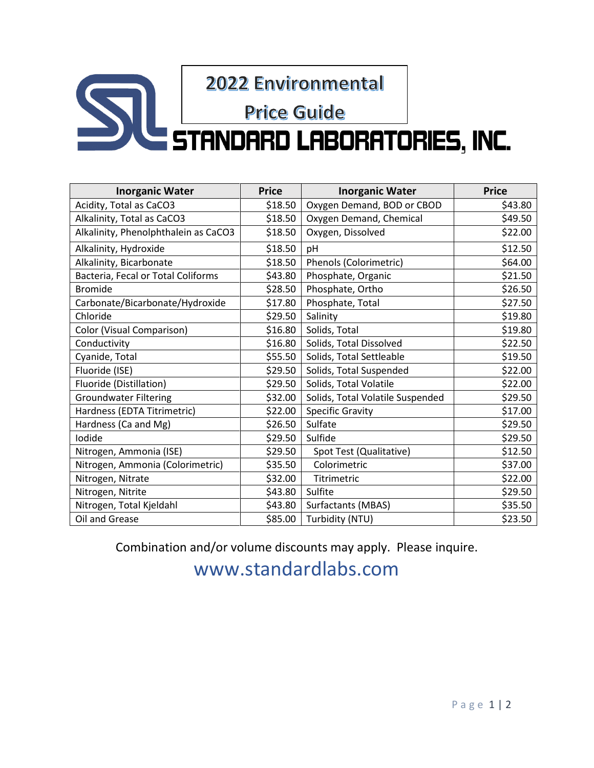## 2022 Environmental **Express Computer Computer State State State State State State State State State State State State State State S**<br>STANDARD LABORATORIES, INC.

| <b>Inorganic Water</b>               | <b>Price</b> | <b>Inorganic Water</b>           | <b>Price</b> |
|--------------------------------------|--------------|----------------------------------|--------------|
| Acidity, Total as CaCO3              | \$18.50      | Oxygen Demand, BOD or CBOD       | \$43.80      |
| Alkalinity, Total as CaCO3           | \$18.50      | Oxygen Demand, Chemical          | \$49.50      |
| Alkalinity, Phenolphthalein as CaCO3 | \$18.50      | Oxygen, Dissolved                | \$22.00      |
| Alkalinity, Hydroxide                | \$18.50      | pH                               | \$12.50      |
| Alkalinity, Bicarbonate              | \$18.50      | Phenols (Colorimetric)           | \$64.00      |
| Bacteria, Fecal or Total Coliforms   | \$43.80      | Phosphate, Organic               | \$21.50      |
| <b>Bromide</b>                       | \$28.50      | Phosphate, Ortho                 | \$26.50      |
| Carbonate/Bicarbonate/Hydroxide      | \$17.80      | Phosphate, Total                 | \$27.50      |
| Chloride                             | \$29.50      | Salinity                         | \$19.80      |
| Color (Visual Comparison)            | \$16.80      | Solids, Total                    | \$19.80      |
| Conductivity                         | \$16.80      | Solids, Total Dissolved          | \$22.50      |
| Cyanide, Total                       | \$55.50      | Solids, Total Settleable         | \$19.50      |
| Fluoride (ISE)                       | \$29.50      | Solids, Total Suspended          | \$22.00      |
| Fluoride (Distillation)              | \$29.50      | Solids, Total Volatile           | \$22.00      |
| <b>Groundwater Filtering</b>         | \$32.00      | Solids, Total Volatile Suspended | \$29.50      |
| Hardness (EDTA Titrimetric)          | \$22.00      | <b>Specific Gravity</b>          | \$17.00      |
| Hardness (Ca and Mg)                 | \$26.50      | Sulfate                          | \$29.50      |
| Iodide                               | \$29.50      | Sulfide                          | \$29.50      |
| Nitrogen, Ammonia (ISE)              | \$29.50      | Spot Test (Qualitative)          | \$12.50      |
| Nitrogen, Ammonia (Colorimetric)     | \$35.50      | Colorimetric                     | \$37.00      |
| Nitrogen, Nitrate                    | \$32.00      | Titrimetric                      | \$22.00      |
| Nitrogen, Nitrite                    | \$43.80      | Sulfite                          | \$29.50      |
| Nitrogen, Total Kjeldahl             | \$43.80      | Surfactants (MBAS)               | \$35.50      |
| Oil and Grease                       | \$85.00      | Turbidity (NTU)                  | \$23.50      |

Combination and/or volume discounts may apply. Please inquire.

www.standardlabs.com